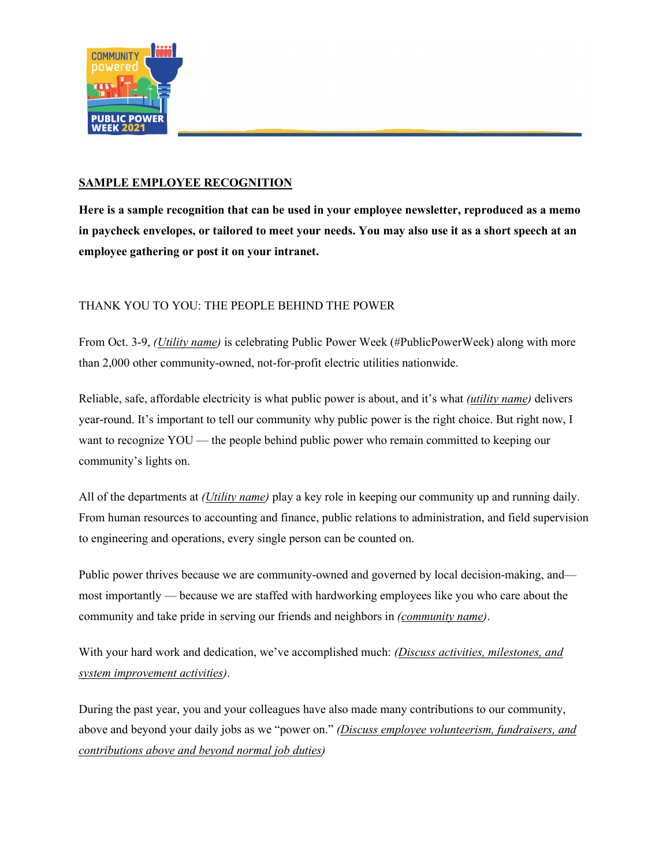

## **SAMPLE EMPLOYEE RECOGNITION**

**Here is a sample recognition that can be used in your employee newsletter, reproduced as a memo in paycheck envelopes, or tailored to meet your needs. You may also use it as a short speech at an employee gathering or post it on your intranet.**

## THANK YOU TO YOU: THE PEOPLE BEHIND THE POWER

From Oct. 3-9, *(Utility name)* is celebrating Public Power Week (#PublicPowerWeek) along with more than 2,000 other community-owned, not-for-profit electric utilities nationwide.

Reliable, safe, affordable electricity is what public power is about, and it's what *(utility name)* delivers year-round. It's important to tell our community why public power is the right choice. But right now, I want to recognize YOU — the people behind public power who remain committed to keeping our community's lights on.

All of the departments at *(Utility name)* play a key role in keeping our community up and running daily. From human resources to accounting and finance, public relations to administration, and field supervision to engineering and operations, every single person can be counted on.

Public power thrives because we are community-owned and governed by local decision-making, and most importantly — because we are staffed with hardworking employees like you who care about the community and take pride in serving our friends and neighbors in *(community name)*.

With your hard work and dedication, we've accomplished much: *(Discuss activities, milestones, and system improvement activities)*.

During the past year, you and your colleagues have also made many contributions to our community, above and beyond your daily jobs as we "power on." *(Discuss employee volunteerism, fundraisers, and contributions above and beyond normal job duties)*